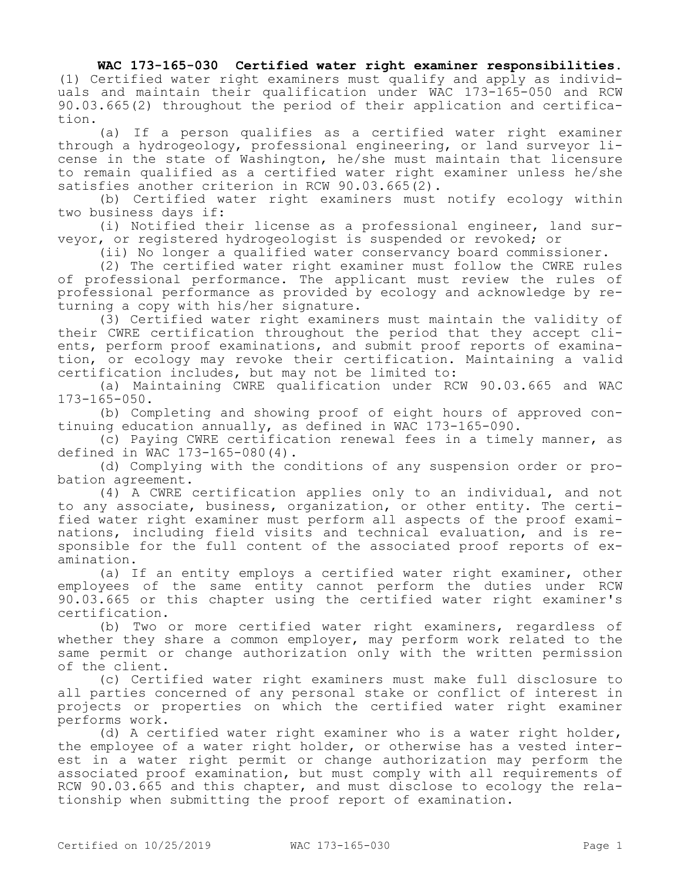## **WAC 173-165-030 Certified water right examiner responsibilities.**

(1) Certified water right examiners must qualify and apply as individuals and maintain their qualification under WAC 173-165-050 and RCW 90.03.665(2) throughout the period of their application and certification.

(a) If a person qualifies as a certified water right examiner through a hydrogeology, professional engineering, or land surveyor license in the state of Washington, he/she must maintain that licensure to remain qualified as a certified water right examiner unless he/she satisfies another criterion in RCW 90.03.665(2).

(b) Certified water right examiners must notify ecology within two business days if:

(i) Notified their license as a professional engineer, land surveyor, or registered hydrogeologist is suspended or revoked; or

(ii) No longer a qualified water conservancy board commissioner.

(2) The certified water right examiner must follow the CWRE rules of professional performance. The applicant must review the rules of professional performance as provided by ecology and acknowledge by returning a copy with his/her signature.

(3) Certified water right examiners must maintain the validity of their CWRE certification throughout the period that they accept clients, perform proof examinations, and submit proof reports of examination, or ecology may revoke their certification. Maintaining a valid certification includes, but may not be limited to:

(a) Maintaining CWRE qualification under RCW 90.03.665 and WAC 173-165-050.

(b) Completing and showing proof of eight hours of approved continuing education annually, as defined in WAC 173-165-090.

(c) Paying CWRE certification renewal fees in a timely manner, as defined in WAC 173-165-080(4).

(d) Complying with the conditions of any suspension order or probation agreement.

(4) A CWRE certification applies only to an individual, and not to any associate, business, organization, or other entity. The certified water right examiner must perform all aspects of the proof examinations, including field visits and technical evaluation, and is responsible for the full content of the associated proof reports of examination.

(a) If an entity employs a certified water right examiner, other employees of the same entity cannot perform the duties under RCW 90.03.665 or this chapter using the certified water right examiner's certification.

(b) Two or more certified water right examiners, regardless of whether they share a common employer, may perform work related to the same permit or change authorization only with the written permission of the client.

(c) Certified water right examiners must make full disclosure to all parties concerned of any personal stake or conflict of interest in projects or properties on which the certified water right examiner performs work.

(d) A certified water right examiner who is a water right holder, the employee of a water right holder, or otherwise has a vested interest in a water right permit or change authorization may perform the associated proof examination, but must comply with all requirements of RCW 90.03.665 and this chapter, and must disclose to ecology the relationship when submitting the proof report of examination.